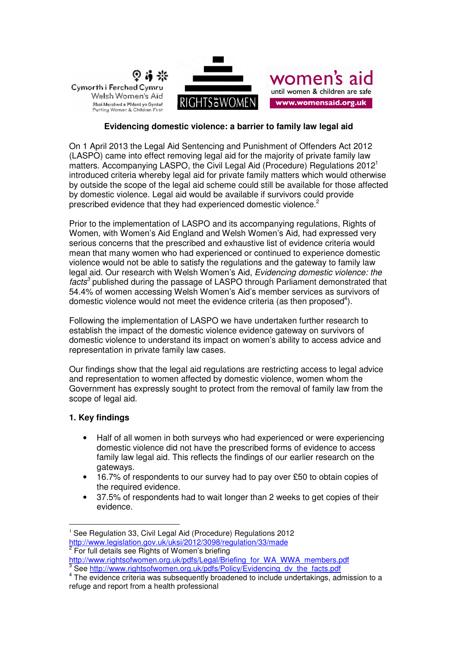

# **Evidencing domestic violence: a barrier to family law legal aid**

On 1 April 2013 the Legal Aid Sentencing and Punishment of Offenders Act 2012 (LASPO) came into effect removing legal aid for the majority of private family law matters. Accompanying LASPO, the Civil Legal Aid (Procedure) Regulations 2012<sup>1</sup> introduced criteria whereby legal aid for private family matters which would otherwise by outside the scope of the legal aid scheme could still be available for those affected by domestic violence. Legal aid would be available if survivors could provide prescribed evidence that they had experienced domestic violence.<sup>2</sup>

Prior to the implementation of LASPO and its accompanying regulations, Rights of Women, with Women's Aid England and Welsh Women's Aid, had expressed very serious concerns that the prescribed and exhaustive list of evidence criteria would mean that many women who had experienced or continued to experience domestic violence would not be able to satisfy the regulations and the gateway to family law legal aid. Our research with Welsh Women's Aid, Evidencing domestic violence: the facts<sup>3</sup> published during the passage of LASPO through Parliament demonstrated that 54.4% of women accessing Welsh Women's Aid's member services as survivors of domestic violence would not meet the evidence criteria (as then proposed<sup>4</sup>).

Following the implementation of LASPO we have undertaken further research to establish the impact of the domestic violence evidence gateway on survivors of domestic violence to understand its impact on women's ability to access advice and representation in private family law cases.

Our findings show that the legal aid regulations are restricting access to legal advice and representation to women affected by domestic violence, women whom the Government has expressly sought to protect from the removal of family law from the scope of legal aid.

# **1. Key findings**

 $\overline{a}$ 

- Half of all women in both surveys who had experienced or were experiencing domestic violence did not have the prescribed forms of evidence to access family law legal aid. This reflects the findings of our earlier research on the gateways.
- 16.7% of respondents to our survey had to pay over £50 to obtain copies of the required evidence.
- 37.5% of respondents had to wait longer than 2 weeks to get copies of their evidence.

 $1$  See Regulation 33, Civil Legal Aid (Procedure) Regulations 2012 http://www.legislation.gov.uk/uksi/2012/3098/regulation/33/made <sup>2</sup> For full details see Rights of Women's briefing

http://www.rightsofwomen.org.uk/pdfs/Legal/Briefing\_for\_WA\_WWA\_members.pdf<br>3 See http://www.rightsofwemen.org.uk/pdfe/Believ/Evidencing..dv.the\_fects.pdf

See http://www.rightsofwomen.org.uk/pdfs/Policy/Evidencing\_dv\_the\_facts.pdf

<sup>&</sup>lt;sup>4</sup> The evidence criteria was subsequently broadened to include undertakings, admission to a refuge and report from a health professional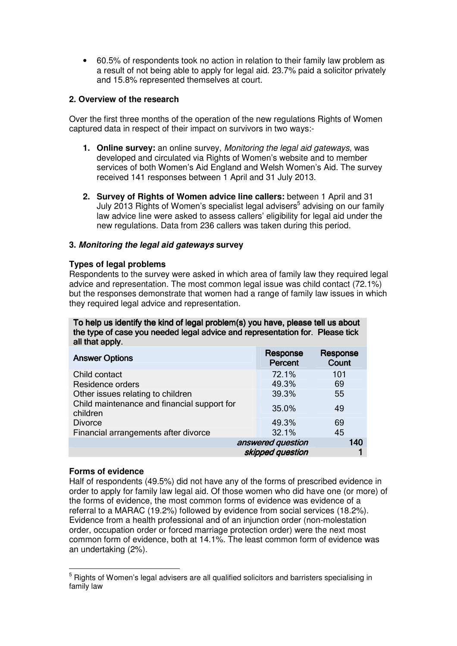• 60.5% of respondents took no action in relation to their family law problem as a result of not being able to apply for legal aid. 23.7% paid a solicitor privately and 15.8% represented themselves at court.

# **2. Overview of the research**

Over the first three months of the operation of the new regulations Rights of Women captured data in respect of their impact on survivors in two ways:-

- **1. Online survey:** an online survey, Monitoring the legal aid gateways, was developed and circulated via Rights of Women's website and to member services of both Women's Aid England and Welsh Women's Aid. The survey received 141 responses between 1 April and 31 July 2013.
- **2. Survey of Rights of Women advice line callers:** between 1 April and 31 July 2013 Rights of Women's specialist legal advisers<sup>5</sup> advising on our family law advice line were asked to assess callers' eligibility for legal aid under the new regulations. Data from 236 callers was taken during this period.

# **3. Monitoring the legal aid gateways survey**

# **Types of legal problems**

Respondents to the survey were asked in which area of family law they required legal advice and representation. The most common legal issue was child contact (72.1%) but the responses demonstrate that women had a range of family law issues in which they required legal advice and representation.

To help us identify the kind of legal problem(s) you have, please tell us about the type of case you needed legal advice and representation for. Please tick all that apply. all that apply.

| <b>Answer Options</b>                                   | Response<br><b>Percent</b> | Response<br>Count |
|---------------------------------------------------------|----------------------------|-------------------|
| Child contact                                           | 72.1%                      | 101               |
| Residence orders                                        | 49.3%                      | 69                |
| Other issues relating to children                       | 39.3%                      | 55                |
| Child maintenance and financial support for<br>children | 35.0%                      | 49                |
| <b>Divorce</b>                                          | 49.3%                      | 69                |
| Financial arrangements after divorce                    | 32.1%                      | 45                |
| answered question                                       |                            | 140               |
|                                                         | skipped question           |                   |

## **Forms of evidence**

 $\overline{a}$ 

Half of respondents (49.5%) did not have any of the forms of prescribed evidence in order to apply for family law legal aid. Of those women who did have one (or more) of the forms of evidence, the most common forms of evidence was evidence of a referral to a MARAC (19.2%) followed by evidence from social services (18.2%). Evidence from a health professional and of an injunction order (non-molestation order, occupation order or forced marriage protection order) were the next most common form of evidence, both at 14.1%. The least common form of evidence was an undertaking (2%).

<sup>&</sup>lt;sup>5</sup> Rights of Women's legal advisers are all qualified solicitors and barristers specialising in family law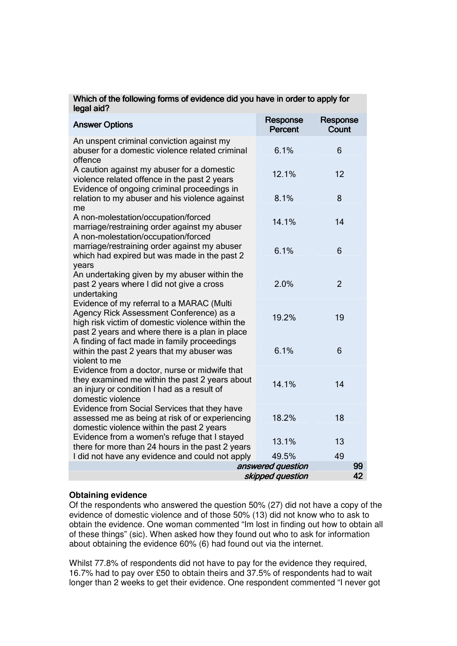| legal aid?                                                                                                                                                                                                                                  |                            |                   |
|---------------------------------------------------------------------------------------------------------------------------------------------------------------------------------------------------------------------------------------------|----------------------------|-------------------|
| <b>Answer Options</b>                                                                                                                                                                                                                       | Response<br><b>Percent</b> | Response<br>Count |
| An unspent criminal conviction against my<br>abuser for a domestic violence related criminal<br>offence                                                                                                                                     | 6.1%                       | 6                 |
| A caution against my abuser for a domestic<br>violence related offence in the past 2 years                                                                                                                                                  | 12.1%                      | 12                |
| Evidence of ongoing criminal proceedings in<br>relation to my abuser and his violence against<br>me                                                                                                                                         | 8.1%                       | 8                 |
| A non-molestation/occupation/forced<br>marriage/restraining order against my abuser                                                                                                                                                         | 14.1%                      | 14                |
| A non-molestation/occupation/forced<br>marriage/restraining order against my abuser<br>which had expired but was made in the past 2<br>years                                                                                                | 6.1%                       | 6                 |
| An undertaking given by my abuser within the<br>past 2 years where I did not give a cross<br>undertaking                                                                                                                                    | 2.0%                       | $\overline{2}$    |
| Evidence of my referral to a MARAC (Multi<br>Agency Rick Assessment Conference) as a<br>high risk victim of domestic violence within the<br>past 2 years and where there is a plan in place<br>A finding of fact made in family proceedings | 19.2%                      | 19                |
| within the past 2 years that my abuser was<br>violent to me                                                                                                                                                                                 | 6.1%                       | 6                 |
| Evidence from a doctor, nurse or midwife that<br>they examined me within the past 2 years about<br>an injury or condition I had as a result of<br>domestic violence                                                                         | 14.1%                      | 14                |
| Evidence from Social Services that they have<br>assessed me as being at risk of or experiencing<br>domestic violence within the past 2 years                                                                                                | 18.2%                      | 18                |
| Evidence from a women's refuge that I stayed<br>there for more than 24 hours in the past 2 years                                                                                                                                            | 13.1%                      | 13                |
| I did not have any evidence and could not apply                                                                                                                                                                                             | 49.5%                      | 49                |
| answered question<br>99<br>42<br>skipped question                                                                                                                                                                                           |                            |                   |
|                                                                                                                                                                                                                                             |                            |                   |

# Which of the following forms of evidence did you have in order to apply for

# **Obtaining evidence**

Of the respondents who answered the question 50% (27) did not have a copy of the evidence of domestic violence and of those 50% (13) did not know who to ask to obtain the evidence. One woman commented "Im lost in finding out how to obtain all of these things" (sic). When asked how they found out who to ask for information about obtaining the evidence 60% (6) had found out via the internet.

Whilst 77.8% of respondents did not have to pay for the evidence they required, 16.7% had to pay over £50 to obtain theirs and 37.5% of respondents had to wait longer than 2 weeks to get their evidence. One respondent commented "I never got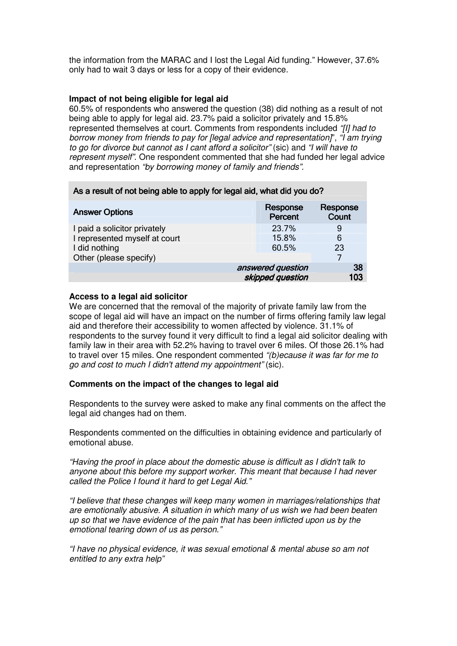the information from the MARAC and I lost the Legal Aid funding." However, 37.6% only had to wait 3 days or less for a copy of their evidence.

## **Impact of not being eligible for legal aid**

60.5% of respondents who answered the question (38) did nothing as a result of not being able to apply for legal aid. 23.7% paid a solicitor privately and 15.8% represented themselves at court. Comments from respondents included "[I] had to borrow money from friends to pay for [legal advice and representation]", "I am trying to go for divorce but cannot as I cant afford a solicitor" (sic) and "I will have to represent myself". One respondent commented that she had funded her legal advice and representation "by borrowing money of family and friends".

| As a result of not being able to apply for legal aid, what did you do? |                            |                          |
|------------------------------------------------------------------------|----------------------------|--------------------------|
| <b>Answer Options</b>                                                  | Response<br><b>Percent</b> | Response<br><b>Count</b> |
| I paid a solicitor privately                                           | 23.7%                      | 9                        |
| I represented myself at court                                          | 15.8%                      | 6                        |
| I did nothing                                                          | 60.5%                      | 23                       |
| Other (please specify)                                                 |                            | 7                        |
|                                                                        | answered question          | 38                       |
|                                                                        | skipped question           | 103                      |

## **Access to a legal aid solicitor**

We are concerned that the removal of the majority of private family law from the scope of legal aid will have an impact on the number of firms offering family law legal aid and therefore their accessibility to women affected by violence. 31.1% of respondents to the survey found it very difficult to find a legal aid solicitor dealing with family law in their area with 52.2% having to travel over 6 miles. Of those 26.1% had to travel over 15 miles. One respondent commented "(b)ecause it was far for me to go and cost to much I didn't attend my appointment" (sic).

## **Comments on the impact of the changes to legal aid**

Respondents to the survey were asked to make any final comments on the affect the legal aid changes had on them.

Respondents commented on the difficulties in obtaining evidence and particularly of emotional abuse.

"Having the proof in place about the domestic abuse is difficult as I didn't talk to anyone about this before my support worker. This meant that because I had never called the Police I found it hard to get Legal Aid."

"I believe that these changes will keep many women in marriages/relationships that are emotionally abusive. A situation in which many of us wish we had been beaten up so that we have evidence of the pain that has been inflicted upon us by the emotional tearing down of us as person."

"I have no physical evidence, it was sexual emotional & mental abuse so am not entitled to any extra help"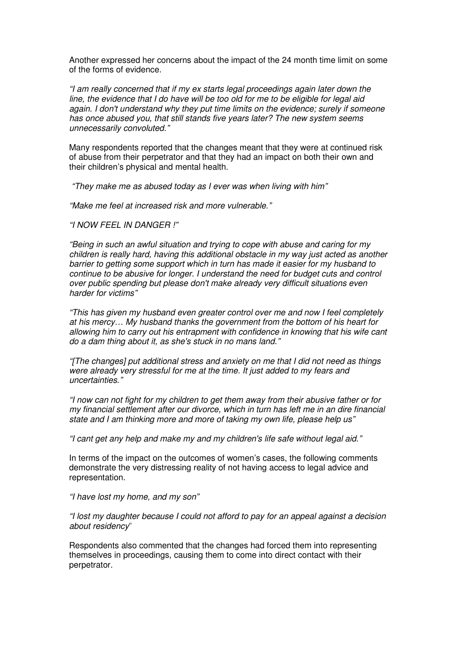Another expressed her concerns about the impact of the 24 month time limit on some of the forms of evidence.

"I am really concerned that if my ex starts legal proceedings again later down the line, the evidence that I do have will be too old for me to be eligible for legal aid again. I don't understand why they put time limits on the evidence; surely if someone has once abused you, that still stands five years later? The new system seems unnecessarily convoluted."

Many respondents reported that the changes meant that they were at continued risk of abuse from their perpetrator and that they had an impact on both their own and their children's physical and mental health.

"They make me as abused today as I ever was when living with him"

"Make me feel at increased risk and more vulnerable."

## "I NOW FEEL IN DANGER !"

"Being in such an awful situation and trying to cope with abuse and caring for my children is really hard, having this additional obstacle in my way just acted as another barrier to getting some support which in turn has made it easier for my husband to continue to be abusive for longer. I understand the need for budget cuts and control over public spending but please don't make already very difficult situations even harder for victims"

"This has given my husband even greater control over me and now I feel completely at his mercy… My husband thanks the government from the bottom of his heart for allowing him to carry out his entrapment with confidence in knowing that his wife cant do a dam thing about it, as she's stuck in no mans land."

"[The changes] put additional stress and anxiety on me that I did not need as things were already very stressful for me at the time. It just added to my fears and uncertainties."

"I now can not fight for my children to get them away from their abusive father or for my financial settlement after our divorce, which in turn has left me in an dire financial state and I am thinking more and more of taking my own life, please help us"

"I cant get any help and make my and my children's life safe without legal aid."

In terms of the impact on the outcomes of women's cases, the following comments demonstrate the very distressing reality of not having access to legal advice and representation.

## "I have lost my home, and my son"

"I lost my daughter because I could not afford to pay for an appeal against a decision about residency"

Respondents also commented that the changes had forced them into representing themselves in proceedings, causing them to come into direct contact with their perpetrator.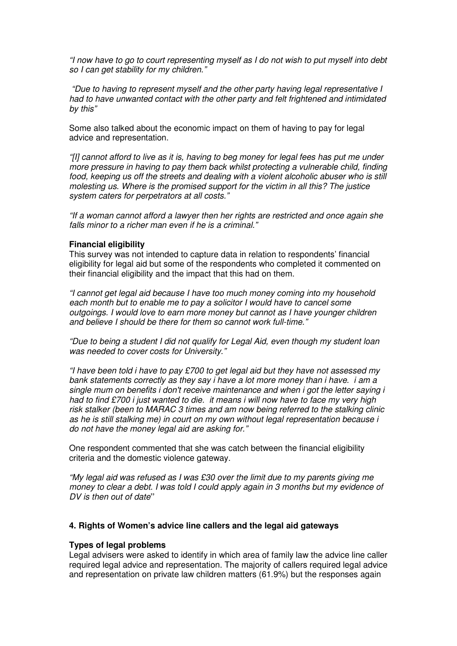"I now have to go to court representing myself as I do not wish to put myself into debt so I can get stability for my children."

 "Due to having to represent myself and the other party having legal representative I had to have unwanted contact with the other party and felt frightened and intimidated by this"

Some also talked about the economic impact on them of having to pay for legal advice and representation.

"[I] cannot afford to live as it is, having to beg money for legal fees has put me under more pressure in having to pay them back whilst protecting a vulnerable child, finding food, keeping us off the streets and dealing with a violent alcoholic abuser who is still molesting us. Where is the promised support for the victim in all this? The justice system caters for perpetrators at all costs."

"If a woman cannot afford a lawyer then her rights are restricted and once again she falls minor to a richer man even if he is a criminal."

#### **Financial eligibility**

This survey was not intended to capture data in relation to respondents' financial eligibility for legal aid but some of the respondents who completed it commented on their financial eligibility and the impact that this had on them.

"I cannot get legal aid because I have too much money coming into my household each month but to enable me to pay a solicitor I would have to cancel some outgoings. I would love to earn more money but cannot as I have younger children and believe I should be there for them so cannot work full-time."

"Due to being a student I did not qualify for Legal Aid, even though my student loan was needed to cover costs for University."

"I have been told i have to pay £700 to get legal aid but they have not assessed my bank statements correctly as they say i have a lot more money than i have. *i* am a single mum on benefits i don't receive maintenance and when i got the letter saying i had to find £700 i just wanted to die. it means i will now have to face my very high risk stalker (been to MARAC 3 times and am now being referred to the stalking clinic as he is still stalking me) in court on my own without legal representation because i do not have the money legal aid are asking for."

One respondent commented that she was catch between the financial eligibility criteria and the domestic violence gateway.

"My legal aid was refused as I was £30 over the limit due to my parents giving me money to clear a debt. I was told I could apply again in 3 months but my evidence of DV is then out of date**"**

## **4. Rights of Women's advice line callers and the legal aid gateways**

## **Types of legal problems**

Legal advisers were asked to identify in which area of family law the advice line caller required legal advice and representation. The majority of callers required legal advice and representation on private law children matters (61.9%) but the responses again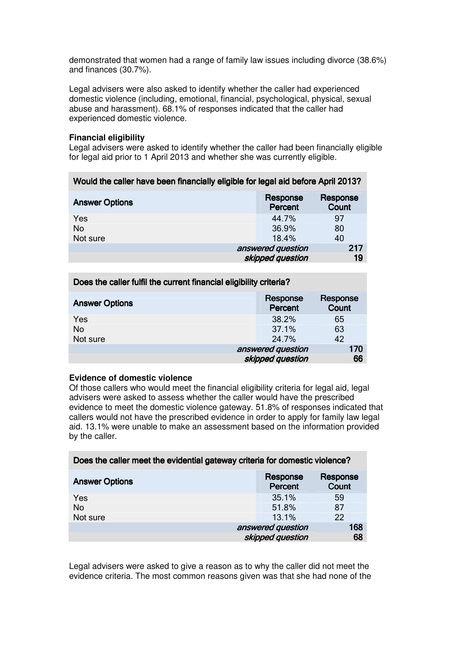demonstrated that women had a range of family law issues including divorce (38.6%) and finances (30.7%).

Legal advisers were also asked to identify whether the caller had experienced domestic violence (including, emotional, financial, psychological, physical, sexual abuse and harassment). 68.1% of responses indicated that the caller had experienced domestic violence.

## **Financial eligibility**

Legal advisers were asked to identify whether the caller had been financially eligible for legal aid prior to 1 April 2013 and whether she was currently eligible.

| Would the caller have been financially eligible for legal aid before April 2013? |                            |                   |
|----------------------------------------------------------------------------------|----------------------------|-------------------|
| <b>Answer Options</b>                                                            | Response<br><b>Percent</b> | Response<br>Count |
| Yes                                                                              | 44.7%                      | 97                |
| <b>No</b>                                                                        | 36.9%                      | 80                |
| Not sure                                                                         | 18.4%                      | 40                |
|                                                                                  | answered question          | 217               |
|                                                                                  | skipped question           | 19                |
|                                                                                  |                            |                   |

| Does the caller fulfil the current financial eligibility criteria? |                     |                   |
|--------------------------------------------------------------------|---------------------|-------------------|
| <b>Answer Options</b>                                              | Response<br>Percent | Response<br>Count |
| Yes                                                                | 38.2%               | 65                |
| <b>No</b>                                                          | 37.1%               | 63                |
| Not sure                                                           | 24.7%               | 42                |
|                                                                    | answered question   | 170               |
|                                                                    | skipped question    | 66                |

# **Evidence of domestic violence**

Of those callers who would meet the financial eligibility criteria for legal aid, legal advisers were asked to assess whether the caller would have the prescribed evidence to meet the domestic violence gateway. 51.8% of responses indicated that callers would not have the prescribed evidence in order to apply for family law legal aid. 13.1% were unable to make an assessment based on the information provided by the caller.

| -                     |                     |                   |
|-----------------------|---------------------|-------------------|
| <b>Answer Options</b> | Response<br>Percent | Response<br>Count |
| Yes                   | 35.1%               | 59                |
| No                    | 51.8%               | 87                |
| Not sure              | 13.1%               | 22                |
|                       | answered question   | 168               |
|                       | skipped question    | 68                |

Does the caller meet the evidential gateway criteria for domestic violence?

Legal advisers were asked to give a reason as to why the caller did not meet the evidence criteria. The most common reasons given was that she had none of the